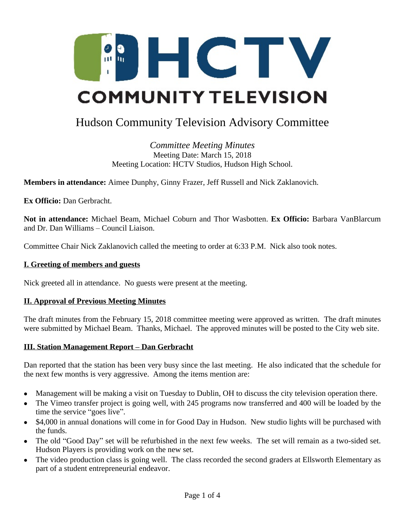

# Hudson Community Television Advisory Committee

*Committee Meeting Minutes* Meeting Date: March 15, 2018 Meeting Location: HCTV Studios, Hudson High School.

**Members in attendance:** Aimee Dunphy, Ginny Frazer, Jeff Russell and Nick Zaklanovich.

**Ex Officio:** Dan Gerbracht.

**Not in attendance:** Michael Beam, Michael Coburn and Thor Wasbotten. **Ex Officio:** Barbara VanBlarcum and Dr. Dan Williams – Council Liaison.

Committee Chair Nick Zaklanovich called the meeting to order at 6:33 P.M. Nick also took notes.

#### **I. Greeting of members and guests**

Nick greeted all in attendance. No guests were present at the meeting.

#### **II. Approval of Previous Meeting Minutes**

The draft minutes from the February 15, 2018 committee meeting were approved as written. The draft minutes were submitted by Michael Beam. Thanks, Michael. The approved minutes will be posted to the City web site.

## **III. Station Management Report – Dan Gerbracht**

Dan reported that the station has been very busy since the last meeting. He also indicated that the schedule for the next few months is very aggressive. Among the items mention are:

- Management will be making a visit on Tuesday to Dublin, OH to discuss the city television operation there.
- The Vimeo transfer project is going well, with 245 programs now transferred and 400 will be loaded by the time the service "goes live".
- \$4,000 in annual donations will come in for Good Day in Hudson. New studio lights will be purchased with the funds.
- The old "Good Day" set will be refurbished in the next few weeks. The set will remain as a two-sided set. Hudson Players is providing work on the new set.
- The video production class is going well. The class recorded the second graders at Ellsworth Elementary as part of a student entrepreneurial endeavor.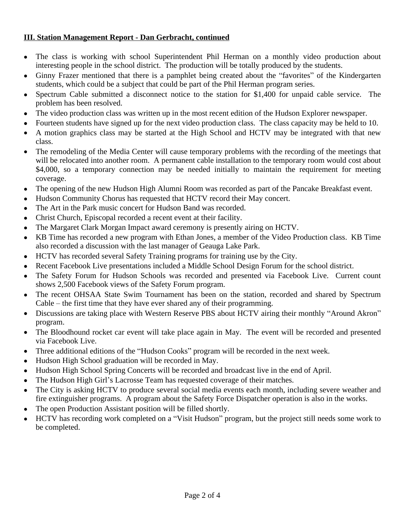# **III. Station Management Report - Dan Gerbracht, continued**

- The class is working with school Superintendent Phil Herman on a monthly video production about interesting people in the school district. The production will be totally produced by the students.
- Ginny Frazer mentioned that there is a pamphlet being created about the "favorites" of the Kindergarten students, which could be a subject that could be part of the Phil Herman program series.
- Spectrum Cable submitted a disconnect notice to the station for \$1,400 for unpaid cable service. The problem has been resolved.
- The video production class was written up in the most recent edition of the Hudson Explorer newspaper.
- Fourteen students have signed up for the next video production class. The class capacity may be held to 10.
- A motion graphics class may be started at the High School and HCTV may be integrated with that new class.
- The remodeling of the Media Center will cause temporary problems with the recording of the meetings that will be relocated into another room. A permanent cable installation to the temporary room would cost about \$4,000, so a temporary connection may be needed initially to maintain the requirement for meeting coverage.
- The opening of the new Hudson High Alumni Room was recorded as part of the Pancake Breakfast event.
- Hudson Community Chorus has requested that HCTV record their May concert.
- The Art in the Park music concert for Hudson Band was recorded.
- Christ Church, Episcopal recorded a recent event at their facility.
- The Margaret Clark Morgan Impact award ceremony is presently airing on HCTV.
- KB Time has recorded a new program with Ethan Jones, a member of the Video Production class. KB Time also recorded a discussion with the last manager of Geauga Lake Park.
- HCTV has recorded several Safety Training programs for training use by the City.
- Recent Facebook Live presentations included a Middle School Design Forum for the school district.
- The Safety Forum for Hudson Schools was recorded and presented via Facebook Live. Current count shows 2,500 Facebook views of the Safety Forum program.
- The recent OHSAA State Swim Tournament has been on the station, recorded and shared by Spectrum Cable – the first time that they have ever shared any of their programming.
- Discussions are taking place with Western Reserve PBS about HCTV airing their monthly "Around Akron" program.
- The Bloodhound rocket car event will take place again in May. The event will be recorded and presented via Facebook Live.
- Three additional editions of the "Hudson Cooks" program will be recorded in the next week.
- Hudson High School graduation will be recorded in May.
- Hudson High School Spring Concerts will be recorded and broadcast live in the end of April.
- The Hudson High Girl's Lacrosse Team has requested coverage of their matches.
- The City is asking HCTV to produce several social media events each month, including severe weather and fire extinguisher programs. A program about the Safety Force Dispatcher operation is also in the works.
- The open Production Assistant position will be filled shortly.
- HCTV has recording work completed on a "Visit Hudson" program, but the project still needs some work to be completed.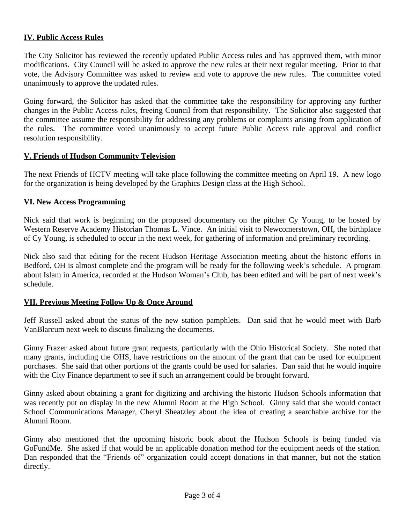## **IV. Public Access Rules**

The City Solicitor has reviewed the recently updated Public Access rules and has approved them, with minor modifications. City Council will be asked to approve the new rules at their next regular meeting. Prior to that vote, the Advisory Committee was asked to review and vote to approve the new rules. The committee voted unanimously to approve the updated rules.

Going forward, the Solicitor has asked that the committee take the responsibility for approving any further changes in the Public Access rules, freeing Council from that responsibility. The Solicitor also suggested that the committee assume the responsibility for addressing any problems or complaints arising from application of the rules. The committee voted unanimously to accept future Public Access rule approval and conflict resolution responsibility.

## **V. Friends of Hudson Community Television**

The next Friends of HCTV meeting will take place following the committee meeting on April 19. A new logo for the organization is being developed by the Graphics Design class at the High School.

#### **VI. New Access Programming**

Nick said that work is beginning on the proposed documentary on the pitcher Cy Young, to be hosted by Western Reserve Academy Historian Thomas L. Vince. An initial visit to Newcomerstown, OH, the birthplace of Cy Young, is scheduled to occur in the next week, for gathering of information and preliminary recording.

Nick also said that editing for the recent Hudson Heritage Association meeting about the historic efforts in Bedford, OH is almost complete and the program will be ready for the following week's schedule. A program about Islam in America, recorded at the Hudson Woman's Club, has been edited and will be part of next week's schedule.

#### **VII. Previous Meeting Follow Up & Once Around**

Jeff Russell asked about the status of the new station pamphlets. Dan said that he would meet with Barb VanBlarcum next week to discuss finalizing the documents.

Ginny Frazer asked about future grant requests, particularly with the Ohio Historical Society. She noted that many grants, including the OHS, have restrictions on the amount of the grant that can be used for equipment purchases. She said that other portions of the grants could be used for salaries. Dan said that he would inquire with the City Finance department to see if such an arrangement could be brought forward.

Ginny asked about obtaining a grant for digitizing and archiving the historic Hudson Schools information that was recently put on display in the new Alumni Room at the High School. Ginny said that she would contact School Communications Manager, Cheryl Sheatzley about the idea of creating a searchable archive for the Alumni Room.

Ginny also mentioned that the upcoming historic book about the Hudson Schools is being funded via GoFundMe. She asked if that would be an applicable donation method for the equipment needs of the station. Dan responded that the "Friends of" organization could accept donations in that manner, but not the station directly.